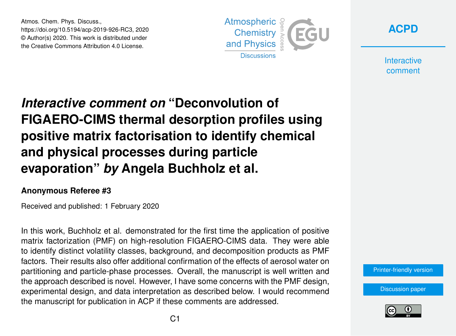Atmos. Chem. Phys. Discuss., https://doi.org/10.5194/acp-2019-926-RC3, 2020 © Author(s) 2020. This work is distributed under the Creative Commons Attribution 4.0 License.





**Interactive** comment

# *Interactive comment on* **"Deconvolution of FIGAERO-CIMS thermal desorption profiles using positive matrix factorisation to identify chemical and physical processes during particle evaporation"** *by* **Angela Buchholz et al.**

## **Anonymous Referee #3**

Received and published: 1 February 2020

In this work, Buchholz et al. demonstrated for the first time the application of positive matrix factorization (PMF) on high-resolution FIGAERO-CIMS data. They were able to identify distinct volatility classes, background, and decomposition products as PMF factors. Their results also offer additional confirmation of the effects of aerosol water on partitioning and particle-phase processes. Overall, the manuscript is well written and the approach described is novel. However, I have some concerns with the PMF design, experimental design, and data interpretation as described below. I would recommend the manuscript for publication in ACP if these comments are addressed.

[Printer-friendly version](https://www.atmos-chem-phys-discuss.net/acp-2019-926/acp-2019-926-RC3-print.pdf)

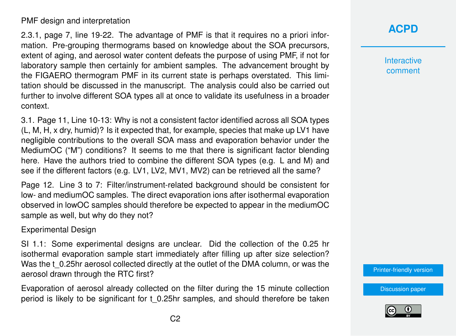### PMF design and interpretation

2.3.1, page 7, line 19-22. The advantage of PMF is that it requires no a priori information. Pre-grouping thermograms based on knowledge about the SOA precursors, extent of aging, and aerosol water content defeats the purpose of using PMF, if not for laboratory sample then certainly for ambient samples. The advancement brought by the FIGAERO thermogram PMF in its current state is perhaps overstated. This limitation should be discussed in the manuscript. The analysis could also be carried out further to involve different SOA types all at once to validate its usefulness in a broader context.

3.1. Page 11, Line 10-13: Why is not a consistent factor identified across all SOA types (L, M, H, x dry, humid)? Is it expected that, for example, species that make up LV1 have negligible contributions to the overall SOA mass and evaporation behavior under the MediumOC ("M") conditions? It seems to me that there is significant factor blending here. Have the authors tried to combine the different SOA types (e.g. L and M) and see if the different factors (e.g. LV1, LV2, MV1, MV2) can be retrieved all the same?

Page 12. Line 3 to 7: Filter/instrument-related background should be consistent for low- and mediumOC samples. The direct evaporation ions after isothermal evaporation observed in lowOC samples should therefore be expected to appear in the mediumOC sample as well, but why do they not?

#### Experimental Design

SI 1.1: Some experimental designs are unclear. Did the collection of the 0.25 hr isothermal evaporation sample start immediately after filling up after size selection? Was the t 0.25hr aerosol collected directly at the outlet of the DMA column, or was the aerosol drawn through the RTC first?

Evaporation of aerosol already collected on the filter during the 15 minute collection period is likely to be significant for t\_0.25hr samples, and should therefore be taken

## **[ACPD](https://www.atmos-chem-phys-discuss.net/)**

**Interactive** comment

[Printer-friendly version](https://www.atmos-chem-phys-discuss.net/acp-2019-926/acp-2019-926-RC3-print.pdf)

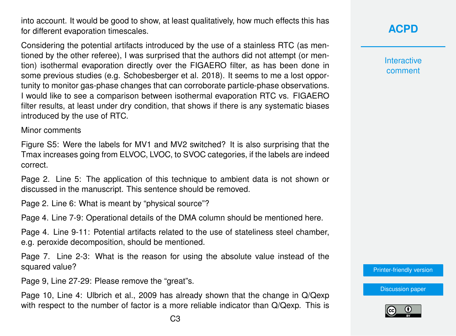into account. It would be good to show, at least qualitatively, how much effects this has for different evaporation timescales.

Considering the potential artifacts introduced by the use of a stainless RTC (as mentioned by the other referee), I was surprised that the authors did not attempt (or mention) isothermal evaporation directly over the FIGAERO filter, as has been done in some previous studies (e.g. Schobesberger et al. 2018). It seems to me a lost opportunity to monitor gas-phase changes that can corroborate particle-phase observations. I would like to see a comparison between isothermal evaporation RTC vs. FIGAERO filter results, at least under dry condition, that shows if there is any systematic biases introduced by the use of RTC.

Minor comments

Figure S5: Were the labels for MV1 and MV2 switched? It is also surprising that the Tmax increases going from ELVOC, LVOC, to SVOC categories, if the labels are indeed correct.

Page 2. Line 5: The application of this technique to ambient data is not shown or discussed in the manuscript. This sentence should be removed.

Page 2. Line 6: What is meant by "physical source"?

Page 4. Line 7-9: Operational details of the DMA column should be mentioned here.

Page 4. Line 9-11: Potential artifacts related to the use of stateliness steel chamber, e.g. peroxide decomposition, should be mentioned.

Page 7. Line 2-3: What is the reason for using the absolute value instead of the squared value?

Page 9, Line 27-29: Please remove the "great"s.

Page 10, Line 4: Ulbrich et al., 2009 has already shown that the change in Q/Qexp with respect to the number of factor is a more reliable indicator than Q/Qexp. This is **[ACPD](https://www.atmos-chem-phys-discuss.net/)**

**Interactive** comment

[Printer-friendly version](https://www.atmos-chem-phys-discuss.net/acp-2019-926/acp-2019-926-RC3-print.pdf)